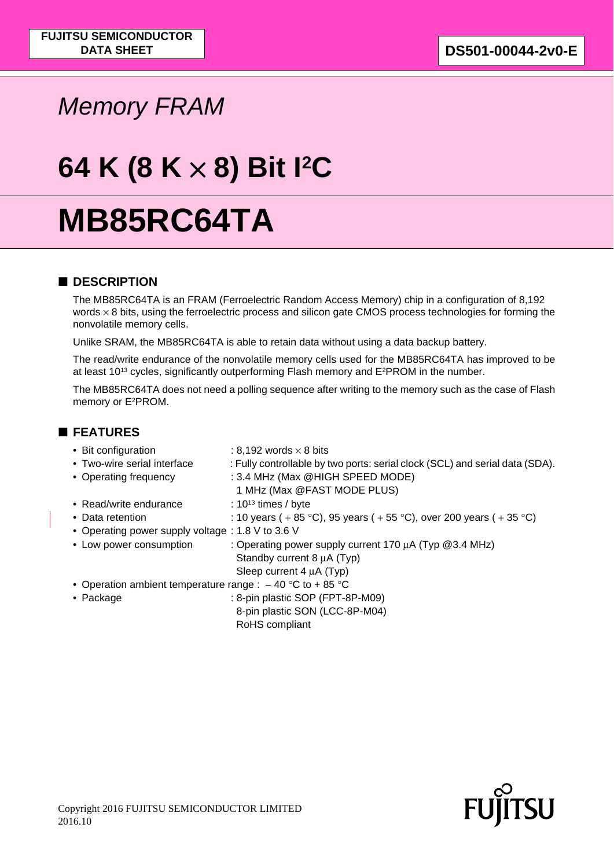# *Memory FRAM*

# **64 K (8 K** × **8) Bit I2C**

# **MB85RC64TA**

### ■ **DESCRIPTION**

The MB85RC64TA is an FRAM (Ferroelectric Random Access Memory) chip in a configuration of 8,192 words  $\times$  8 bits, using the ferroelectric process and silicon gate CMOS process technologies for forming the nonvolatile memory cells.

Unlike SRAM, the MB85RC64TA is able to retain data without using a data backup battery.

The read/write endurance of the nonvolatile memory cells used for the MB85RC64TA has improved to be at least 10<sup>13</sup> cycles, significantly outperforming Flash memory and E<sup>2</sup>PROM in the number.

The MB85RC64TA does not need a polling sequence after writing to the memory such as the case of Flash memory or E2PROM.

### ■ **FEATURES**

| • Bit configuration                                         | : 8,192 words $\times$ 8 bits                                                |
|-------------------------------------------------------------|------------------------------------------------------------------------------|
| • Two-wire serial interface                                 | : Fully controllable by two ports: serial clock (SCL) and serial data (SDA). |
| • Operating frequency                                       | : 3.4 MHz (Max @HIGH SPEED MODE)                                             |
|                                                             | 1 MHz (Max @FAST MODE PLUS)                                                  |
| • Read/write endurance                                      | : $10^{13}$ times / byte                                                     |
| • Data retention                                            | : 10 years (+85 °C), 95 years (+55 °C), over 200 years (+35 °C)              |
| • Operating power supply voltage : 1.8 V to 3.6 V           |                                                                              |
| • Low power consumption                                     | : Operating power supply current 170 µA (Typ @3.4 MHz)                       |
|                                                             | Standby current 8 µA (Typ)                                                   |
|                                                             | Sleep current $4 \mu A$ (Typ)                                                |
| • Operation ambient temperature range : $-40$ °C to + 85 °C |                                                                              |
| $\bullet$ Package                                           | : 8-pin plastic SOP (FPT-8P-M09)                                             |
|                                                             | 8-pin plastic SON (LCC-8P-M04)                                               |
|                                                             | RoHS compliant                                                               |

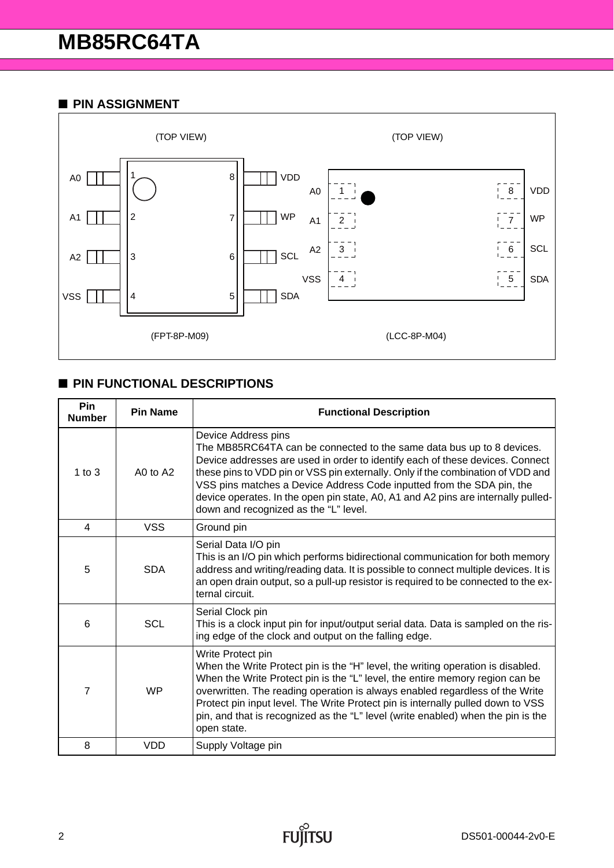#### ■ **PIN ASSIGNMENT**



## ■ **PIN FUNCTIONAL DESCRIPTIONS**

| <b>Pin</b><br><b>Number</b> | <b>Pin Name</b> | <b>Functional Description</b>                                                                                                                                                                                                                                                                                                                                                                                                                                           |
|-----------------------------|-----------------|-------------------------------------------------------------------------------------------------------------------------------------------------------------------------------------------------------------------------------------------------------------------------------------------------------------------------------------------------------------------------------------------------------------------------------------------------------------------------|
| $1$ to $3$                  | A0 to A2        | Device Address pins<br>The MB85RC64TA can be connected to the same data bus up to 8 devices.<br>Device addresses are used in order to identify each of these devices. Connect<br>these pins to VDD pin or VSS pin externally. Only if the combination of VDD and<br>VSS pins matches a Device Address Code inputted from the SDA pin, the<br>device operates. In the open pin state, A0, A1 and A2 pins are internally pulled-<br>down and recognized as the "L" level. |
| $\overline{4}$              | <b>VSS</b>      | Ground pin                                                                                                                                                                                                                                                                                                                                                                                                                                                              |
| 5                           | <b>SDA</b>      | Serial Data I/O pin<br>This is an I/O pin which performs bidirectional communication for both memory<br>address and writing/reading data. It is possible to connect multiple devices. It is<br>an open drain output, so a pull-up resistor is required to be connected to the ex-<br>ternal circuit.                                                                                                                                                                    |
| 6                           | <b>SCL</b>      | Serial Clock pin<br>This is a clock input pin for input/output serial data. Data is sampled on the ris-<br>ing edge of the clock and output on the falling edge.                                                                                                                                                                                                                                                                                                        |
| 7                           | <b>WP</b>       | Write Protect pin<br>When the Write Protect pin is the "H" level, the writing operation is disabled.<br>When the Write Protect pin is the "L" level, the entire memory region can be<br>overwritten. The reading operation is always enabled regardless of the Write<br>Protect pin input level. The Write Protect pin is internally pulled down to VSS<br>pin, and that is recognized as the "L" level (write enabled) when the pin is the<br>open state.              |
| 8                           | <b>VDD</b>      | Supply Voltage pin                                                                                                                                                                                                                                                                                                                                                                                                                                                      |

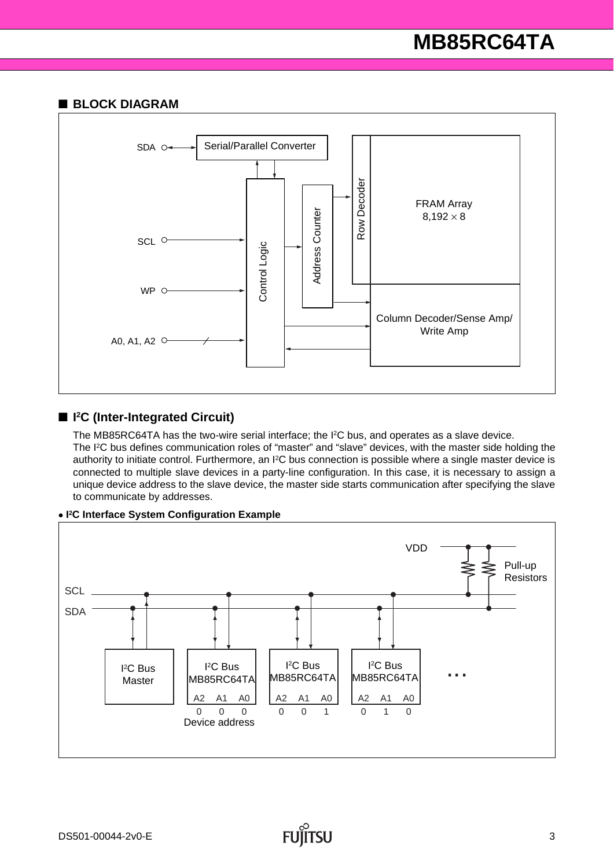#### ■ **BLOCK DIAGRAM**



#### ■ <sup>12</sup>C (Inter-Integrated Circuit)

The MB85RC64TA has the two-wire serial interface; the I2C bus, and operates as a slave device. The I2C bus defines communication roles of "master" and "slave" devices, with the master side holding the authority to initiate control. Furthermore, an I2C bus connection is possible where a single master device is connected to multiple slave devices in a party-line configuration. In this case, it is necessary to assign a unique device address to the slave device, the master side starts communication after specifying the slave to communicate by addresses.



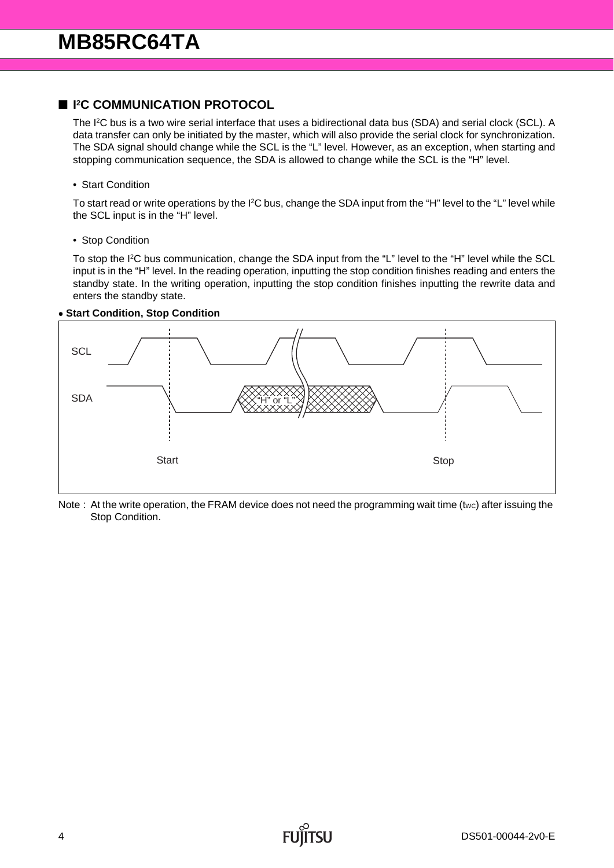#### ■ **I<sup>2</sup>C COMMUNICATION PROTOCOL**

The I<sup>2</sup>C bus is a two wire serial interface that uses a bidirectional data bus (SDA) and serial clock (SCL). A data transfer can only be initiated by the master, which will also provide the serial clock for synchronization. The SDA signal should change while the SCL is the "L" level. However, as an exception, when starting and stopping communication sequence, the SDA is allowed to change while the SCL is the "H" level.

#### • Start Condition

To start read or write operations by the I<sup>2</sup>C bus, change the SDA input from the "H" level to the "L" level while the SCL input is in the "H" level.

• Stop Condition

To stop the I2C bus communication, change the SDA input from the "L" level to the "H" level while the SCL input is in the "H" level. In the reading operation, inputting the stop condition finishes reading and enters the standby state. In the writing operation, inputting the stop condition finishes inputting the rewrite data and enters the standby state.

#### • **Start Condition, Stop Condition**



Note : At the write operation, the FRAM device does not need the programming wait time (twc) after issuing the Stop Condition.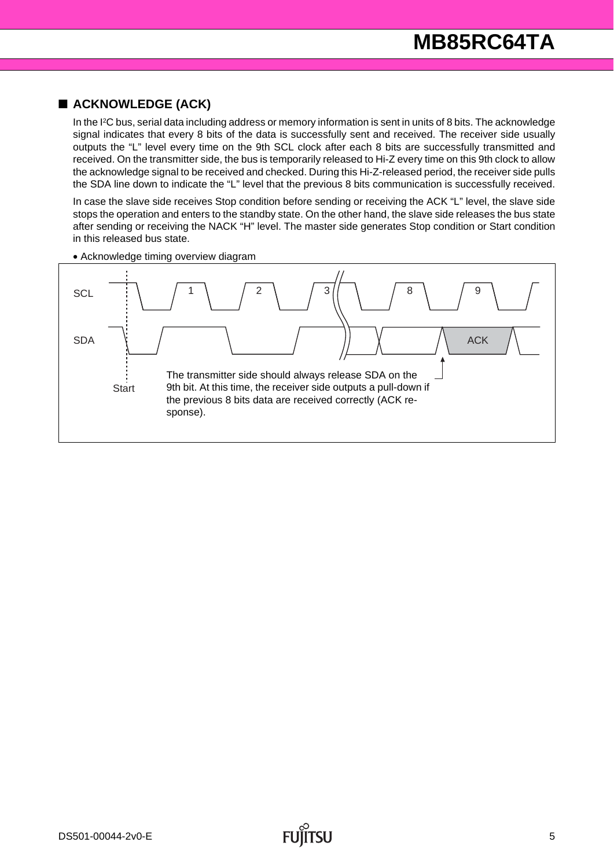### ■ **ACKNOWLEDGE (ACK)**

In the I<sup>2</sup>C bus, serial data including address or memory information is sent in units of 8 bits. The acknowledge signal indicates that every 8 bits of the data is successfully sent and received. The receiver side usually outputs the "L" level every time on the 9th SCL clock after each 8 bits are successfully transmitted and received. On the transmitter side, the bus is temporarily released to Hi-Z every time on this 9th clock to allow the acknowledge signal to be received and checked. During this Hi-Z-released period, the receiver side pulls the SDA line down to indicate the "L" level that the previous 8 bits communication is successfully received.

In case the slave side receives Stop condition before sending or receiving the ACK "L" level, the slave side stops the operation and enters to the standby state. On the other hand, the slave side releases the bus state after sending or receiving the NACK "H" level. The master side generates Stop condition or Start condition in this released bus state.



• Acknowledge timing overview diagram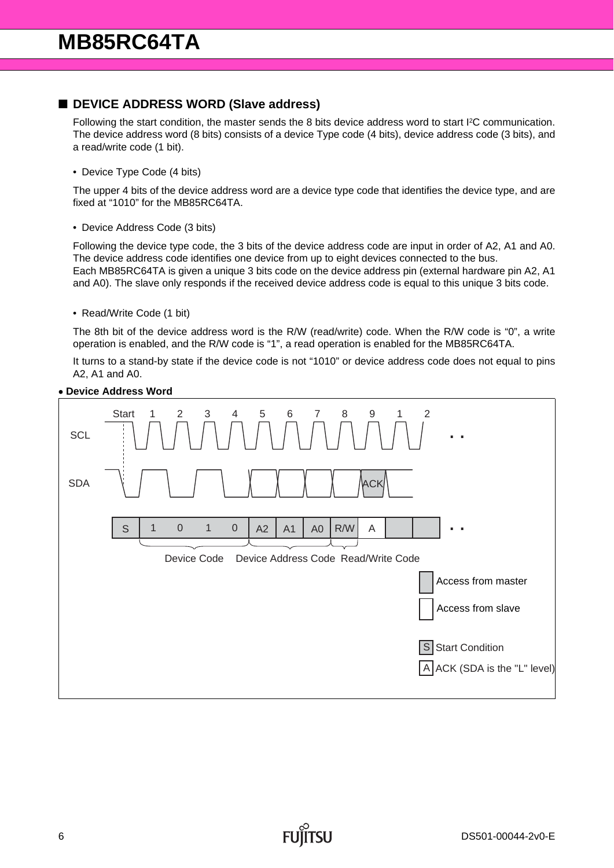#### ■ **DEVICE ADDRESS WORD (Slave address)**

Following the start condition, the master sends the 8 bits device address word to start I2C communication. The device address word (8 bits) consists of a device Type code (4 bits), device address code (3 bits), and a read/write code (1 bit).

• Device Type Code (4 bits)

The upper 4 bits of the device address word are a device type code that identifies the device type, and are fixed at "1010" for the MB85RC64TA.

• Device Address Code (3 bits)

Following the device type code, the 3 bits of the device address code are input in order of A2, A1 and A0. The device address code identifies one device from up to eight devices connected to the bus. Each MB85RC64TA is given a unique 3 bits code on the device address pin (external hardware pin A2, A1 and A0). The slave only responds if the received device address code is equal to this unique 3 bits code.

• Read/Write Code (1 bit)

The 8th bit of the device address word is the R/W (read/write) code. When the R/W code is "0", a write operation is enabled, and the R/W code is "1", a read operation is enabled for the MB85RC64TA.

It turns to a stand-by state if the device code is not "1010" or device address code does not equal to pins A2, A1 and A0.



#### • **Device Address Word**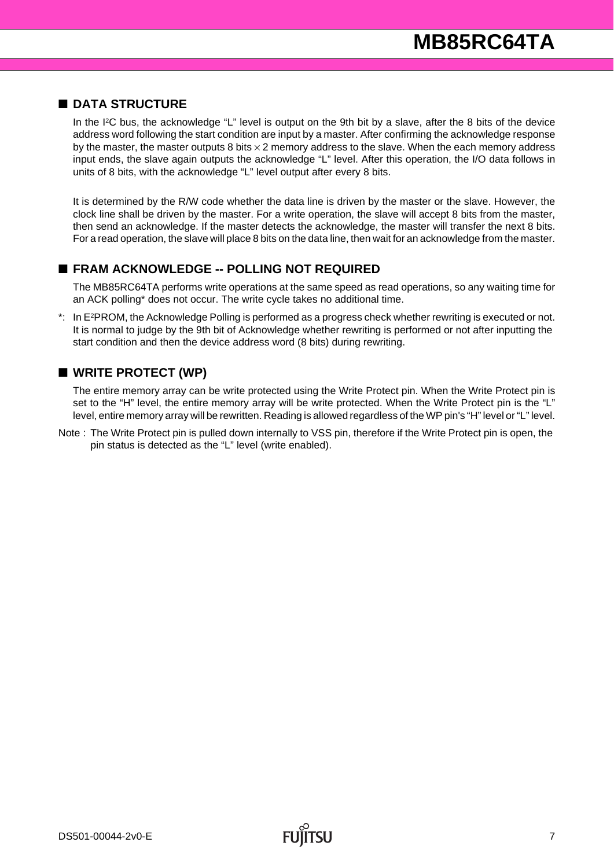#### ■ **DATA STRUCTURE**

In the I<sup>2</sup>C bus, the acknowledge "L" level is output on the 9th bit by a slave, after the 8 bits of the device address word following the start condition are input by a master. After confirming the acknowledge response by the master, the master outputs 8 bits  $\times$  2 memory address to the slave. When the each memory address input ends, the slave again outputs the acknowledge "L" level. After this operation, the I/O data follows in units of 8 bits, with the acknowledge "L" level output after every 8 bits.

It is determined by the R/W code whether the data line is driven by the master or the slave. However, the clock line shall be driven by the master. For a write operation, the slave will accept 8 bits from the master, then send an acknowledge. If the master detects the acknowledge, the master will transfer the next 8 bits. For a read operation, the slave will place 8 bits on the data line, then wait for an acknowledge from the master.

#### ■ **FRAM ACKNOWLEDGE -- POLLING NOT REQUIRED**

The MB85RC64TA performs write operations at the same speed as read operations, so any waiting time for an ACK polling\* does not occur. The write cycle takes no additional time.

\*: In E2PROM, the Acknowledge Polling is performed as a progress check whether rewriting is executed or not. It is normal to judge by the 9th bit of Acknowledge whether rewriting is performed or not after inputting the start condition and then the device address word (8 bits) during rewriting.

#### ■ WRITE PROTECT (WP)

The entire memory array can be write protected using the Write Protect pin. When the Write Protect pin is set to the "H" level, the entire memory array will be write protected. When the Write Protect pin is the "L" level, entire memory array will be rewritten. Reading is allowed regardless of the WP pin's "H" level or "L" level.

Note : The Write Protect pin is pulled down internally to VSS pin, therefore if the Write Protect pin is open, the pin status is detected as the "L" level (write enabled).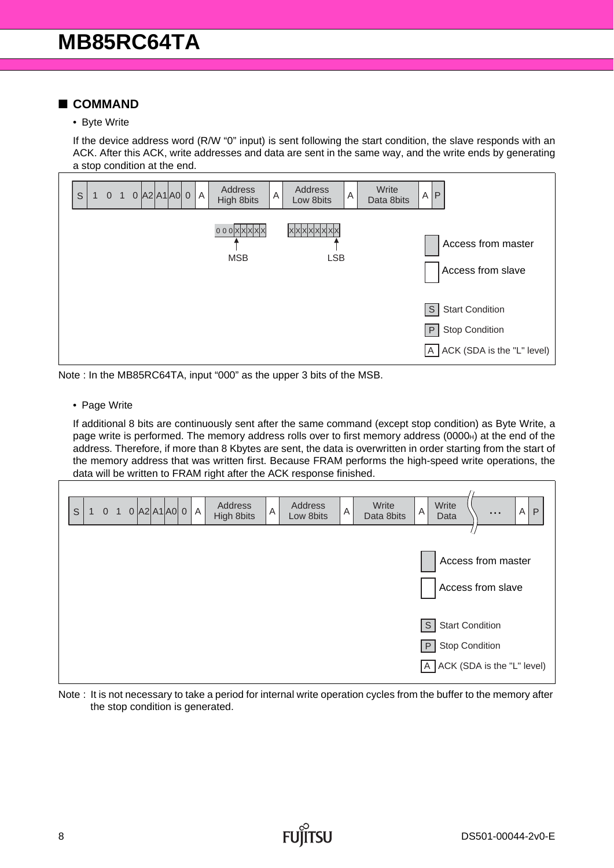#### ■ **COMMAND**

• Byte Write

If the device address word (R/W "0" input) is sent following the start condition, the slave responds with an ACK. After this ACK, write addresses and data are sent in the same way, and the write ends by generating a stop condition at the end.



Note : In the MB85RC64TA, input "000" as the upper 3 bits of the MSB.

• Page Write

If additional 8 bits are continuously sent after the same command (except stop condition) as Byte Write, a page write is performed. The memory address rolls over to first memory address (0000<sub>H</sub>) at the end of the address. Therefore, if more than 8 Kbytes are sent, the data is overwritten in order starting from the start of the memory address that was written first. Because FRAM performs the high-speed write operations, the data will be written to FRAM right after the ACK response finished.



Note : It is not necessary to take a period for internal write operation cycles from the buffer to the memory after the stop condition is generated.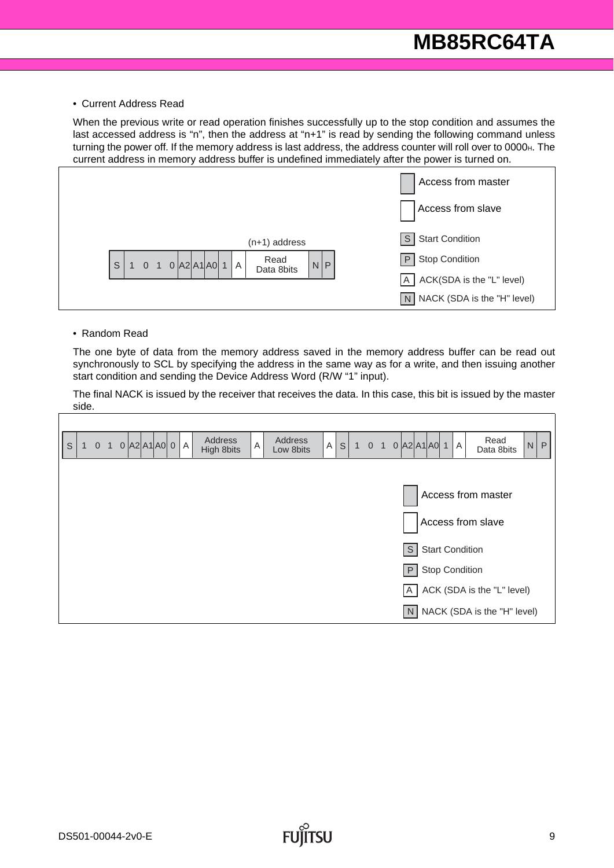#### • Current Address Read

When the previous write or read operation finishes successfully up to the stop condition and assumes the last accessed address is "n", then the address at "n+1" is read by sending the following command unless turning the power off. If the memory address is last address, the address counter will roll over to 0000H. The current address in memory address buffer is undefined immediately after the power is turned on.



#### • Random Read

The one byte of data from the memory address saved in the memory address buffer can be read out synchronously to SCL by specifying the address in the same way as for a write, and then issuing another start condition and sending the Device Address Word (R/W "1" input).

The final NACK is issued by the receiver that receives the data. In this case, this bit is issued by the master side.

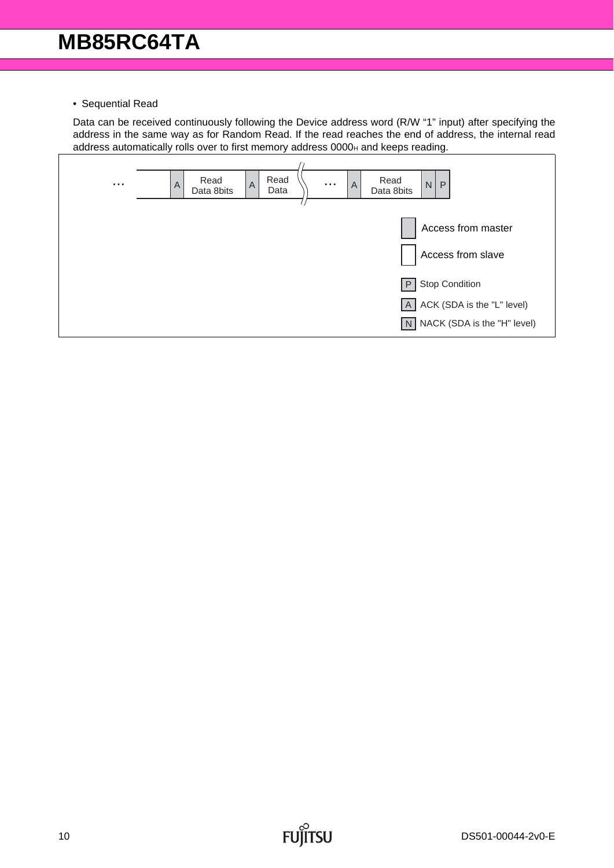• Sequential Read

Data can be received continuously following the Device address word (R/W "1" input) after specifying the address in the same way as for Random Read. If the read reaches the end of address, the internal read address automatically rolls over to first memory address 0000<sub>H</sub> and keeps reading.



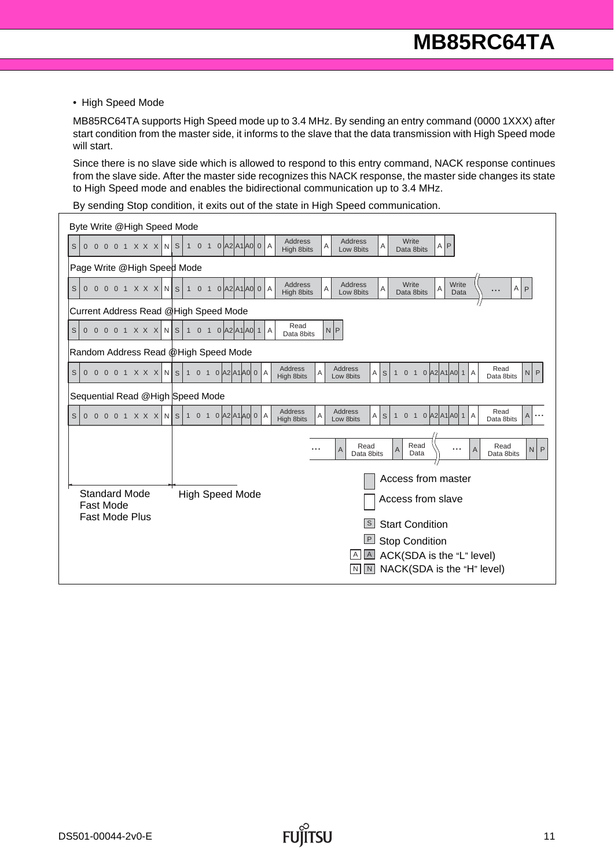• High Speed Mode

MB85RC64TA supports High Speed mode up to 3.4 MHz. By sending an entry command (0000 1XXX) after start condition from the master side, it informs to the slave that the data transmission with High Speed mode will start.

Since there is no slave side which is allowed to respond to this entry command, NACK response continues from the slave side. After the master side recognizes this NACK response, the master side changes its state to High Speed mode and enables the bidirectional communication up to 3.4 MHz.

By sending Stop condition, it exits out of the state in High Speed communication.

| Byte Write @High Speed Mode                    |                                                                                                                                                                                                                                      |  |  |  |  |  |  |  |  |
|------------------------------------------------|--------------------------------------------------------------------------------------------------------------------------------------------------------------------------------------------------------------------------------------|--|--|--|--|--|--|--|--|
| S<br>$0001$ $X$ $X$ $X$<br>$\overline{0}$      | <b>Address</b><br>Write<br><b>Address</b><br>A<br>$N$ S<br>$1 \quad 0 \quad 1$<br>$0$ $ A2 A1 A0 0$<br>$\overline{A}$<br>Α<br>$A$ $P$<br>High 8bits<br>Low 8bits<br>Data 8bits                                                       |  |  |  |  |  |  |  |  |
|                                                | Page Write @High Speed Mode                                                                                                                                                                                                          |  |  |  |  |  |  |  |  |
| 0 0 0 0 1 X X X N S 1 0 1<br>S                 | <b>Address</b><br><b>Address</b><br>Write<br>Write<br>A<br>$A$ $P$<br>$0$ $ A2 A1 A0 0$<br>A<br>Α<br>Α<br>.<br>High 8bits<br>Low 8bits<br>Data 8bits<br>Data                                                                         |  |  |  |  |  |  |  |  |
| Current Address Read @High Speed Mode          |                                                                                                                                                                                                                                      |  |  |  |  |  |  |  |  |
| $\mathsf S$<br>0 0 0 1 X X X<br>$\overline{0}$ | Read<br>N P<br>N S 1 0 1 0 A 2 A 1 A 0 1<br>A<br>Data 8bits                                                                                                                                                                          |  |  |  |  |  |  |  |  |
| Random Address Read @High Speed Mode           |                                                                                                                                                                                                                                      |  |  |  |  |  |  |  |  |
| S<br>$\overline{0}$                            | Address<br>Address<br>Read<br>$0$ 0 0 1 X X X N S 1 0 1 0 A 2 A 1 A 0 0 A<br>1 0 1 0 $ A2 A1 A0 1 A$<br>$\vert$ S<br>Αl<br>N<br>P<br>A<br><b>High 8bits</b><br>Low 8bits<br>Data 8bits                                               |  |  |  |  |  |  |  |  |
| Sequential Read @High Speed Mode               |                                                                                                                                                                                                                                      |  |  |  |  |  |  |  |  |
| S                                              | Address<br>Address<br>Read<br>$0$ 0 0 0 1 X X X N S 1 0 1 0 A2 A1 A0 0 A<br>$0$ $ A2 A1 A0 1$<br>A<br>S<br>$\overline{A}$<br>A<br>$\mathbf{1}$<br>$\overline{0}$<br>$\bigoplus$<br>A<br><b>High 8bits</b><br>Low 8bits<br>Data 8bits |  |  |  |  |  |  |  |  |
|                                                |                                                                                                                                                                                                                                      |  |  |  |  |  |  |  |  |
|                                                | Read<br>Read<br>Read<br>A<br>A<br>N<br>$\overline{A}$<br>P<br>Data 8bits<br>Data 8bits<br>Data                                                                                                                                       |  |  |  |  |  |  |  |  |
|                                                |                                                                                                                                                                                                                                      |  |  |  |  |  |  |  |  |
|                                                | Access from master                                                                                                                                                                                                                   |  |  |  |  |  |  |  |  |
| <b>Fast Mode</b>                               | <b>High Speed Mode</b><br><b>Standard Mode</b><br>Access from slave                                                                                                                                                                  |  |  |  |  |  |  |  |  |
|                                                | <b>Fast Mode Plus</b><br> s <br><b>Start Condition</b>                                                                                                                                                                               |  |  |  |  |  |  |  |  |
|                                                | <b>P</b> Stop Condition                                                                                                                                                                                                              |  |  |  |  |  |  |  |  |
| ACK(SDA is the "L" level)<br>$\boxed{A}$<br>A  |                                                                                                                                                                                                                                      |  |  |  |  |  |  |  |  |
|                                                | NACK(SDA is the "H" level)<br>N<br>$\mathsf{N}$                                                                                                                                                                                      |  |  |  |  |  |  |  |  |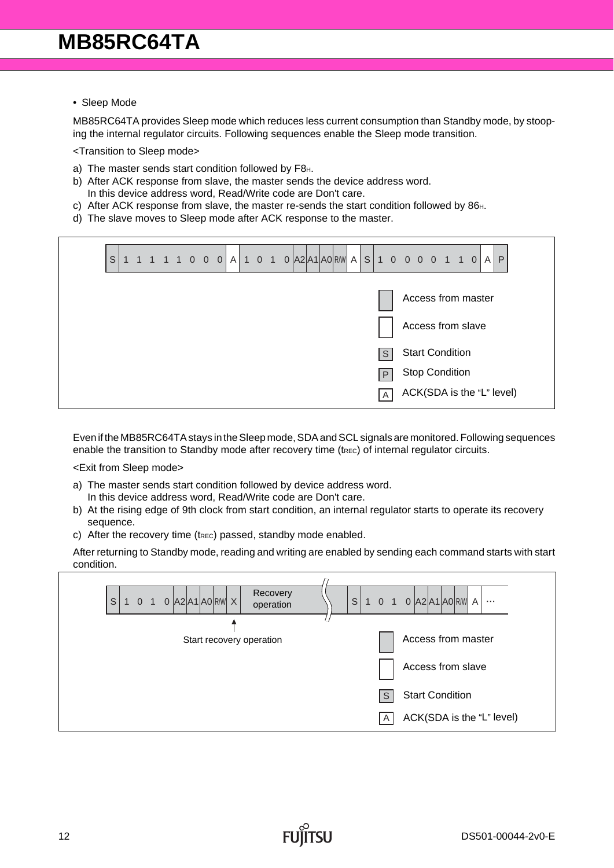• Sleep Mode

MB85RC64TA provides Sleep mode which reduces less current consumption than Standby mode, by stooping the internal regulator circuits. Following sequences enable the Sleep mode transition.

<Transition to Sleep mode>

- a) The master sends start condition followed by F8H.
- b) After ACK response from slave, the master sends the device address word. In this device address word, Read/Write code are Don't care.
- c) After ACK response from slave, the master re-sends the start condition followed by 86<sup>H</sup>.
- d) The slave moves to Sleep mode after ACK response to the master.

| $\mathsf S$ |  |  |  |  |  | 1 1 1 1 0 0 0 A 1 0 1 0 A 2 A 1 A 0 R W A S 1 0 0 0 0 1 1 0 |  |                 |                        |  |  | A                  | $\mathsf{P}$              |  |
|-------------|--|--|--|--|--|-------------------------------------------------------------|--|-----------------|------------------------|--|--|--------------------|---------------------------|--|
|             |  |  |  |  |  |                                                             |  |                 |                        |  |  | Access from master |                           |  |
|             |  |  |  |  |  |                                                             |  |                 | Access from slave      |  |  |                    |                           |  |
|             |  |  |  |  |  |                                                             |  | l S             | <b>Start Condition</b> |  |  |                    |                           |  |
|             |  |  |  |  |  |                                                             |  | $\mathsf{P}'$   | <b>Stop Condition</b>  |  |  |                    |                           |  |
|             |  |  |  |  |  |                                                             |  | $\vert A \vert$ |                        |  |  |                    | ACK(SDA is the "L" level) |  |

Even if the MB85RC64TA stays in the Sleep mode, SDA and SCL signals are monitored. Following sequences enable the transition to Standby mode after recovery time ( $t_{\text{Rec}}$ ) of internal regulator circuits.

<Exit from Sleep mode>

- a) The master sends start condition followed by device address word.
- In this device address word, Read/Write code are Don't care.
- b) At the rising edge of 9th clock from start condition, an internal regulator starts to operate its recovery sequence.
- c) After the recovery time ( $t_{REC}$ ) passed, standby mode enabled.

After returning to Standby mode, reading and writing are enabled by sending each command starts with start condition.

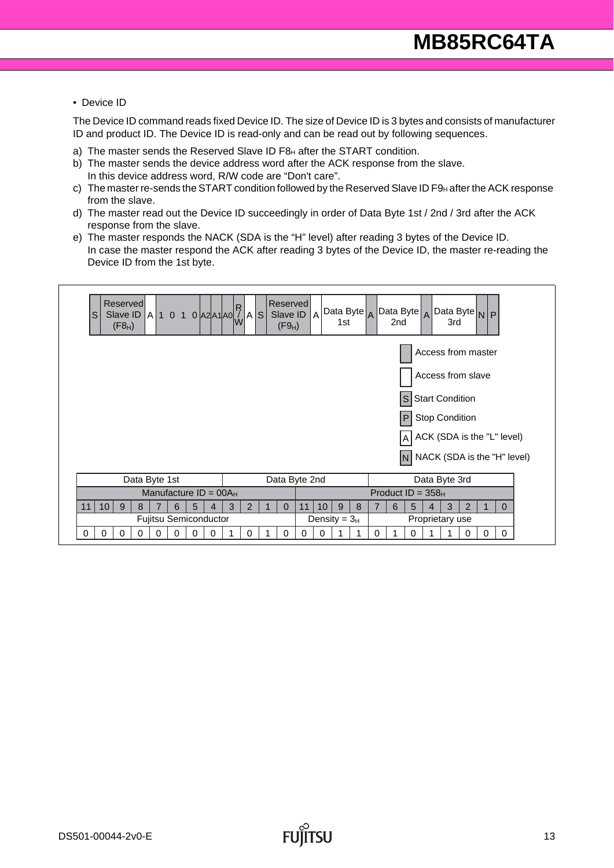#### • Device ID

The Device ID command reads fixed Device ID. The size of Device ID is 3 bytes and consists of manufacturer ID and product ID. The Device ID is read-only and can be read out by following sequences.

- a) The master sends the Reserved Slave ID F8H after the START condition.
- b) The master sends the device address word after the ACK response from the slave. In this device address word, R/W code are "Don't care".
- c) The master re-sends the START condition followed by the Reserved Slave ID F9 $\text{H}$  after the ACK response from the slave.
- d) The master read out the Device ID succeedingly in order of Data Byte 1st / 2nd / 3rd after the ACK response from the slave.
- e) The master responds the NACK (SDA is the "H" level) after reading 3 bytes of the Device ID. In case the master respond the ACK after reading 3 bytes of the Device ID, the master re-reading the Device ID from the 1st byte.

| <b>Reserved</b><br>Slave ID A 1 0 1 0 A2 A1 A0 $\left \left \left \mathbf{A}\right \right $ 5<br>lS<br>$(F8_H)$ | <b>Reserved</b><br>Slave ID<br> A<br>1st<br>$(F9_H)$ | Data Byte $_A$ Data Byte $_A$ Data Byte $_N$ P<br>2 <sub>nd</sub><br>3rd |  |  |  |  |  |  |  |
|-----------------------------------------------------------------------------------------------------------------|------------------------------------------------------|--------------------------------------------------------------------------|--|--|--|--|--|--|--|
| Access from master                                                                                              |                                                      |                                                                          |  |  |  |  |  |  |  |
|                                                                                                                 | Access from slave                                    |                                                                          |  |  |  |  |  |  |  |
| S Start Condition                                                                                               |                                                      |                                                                          |  |  |  |  |  |  |  |
|                                                                                                                 |                                                      | P Stop Condition                                                         |  |  |  |  |  |  |  |
|                                                                                                                 |                                                      | $A$ ACK (SDA is the "L" level)                                           |  |  |  |  |  |  |  |
|                                                                                                                 |                                                      | $\left  N \right $ NACK (SDA is the "H" level)                           |  |  |  |  |  |  |  |
| Data Byte 1st                                                                                                   | Data Byte 2nd                                        | Data Byte 3rd                                                            |  |  |  |  |  |  |  |
| Manufacture $ID = 00A_H$                                                                                        |                                                      | Product $ID = 358H$                                                      |  |  |  |  |  |  |  |
| 11<br>10<br>9<br>5<br>8<br>6<br>4                                                                               | 3<br>2<br>11<br>9<br>8<br>$\Omega$<br>10             | 3<br>6<br>5<br>2<br>$\Omega$<br>4                                        |  |  |  |  |  |  |  |
| Fujitsu Semiconductor                                                                                           | Density = $3H$                                       | Proprietary use                                                          |  |  |  |  |  |  |  |
| 0<br>0<br>0<br>$\Omega$<br>0<br>0<br>0<br>0                                                                     | 0<br>0<br>0<br>0.                                    | 0<br>0<br>0<br>0<br>0                                                    |  |  |  |  |  |  |  |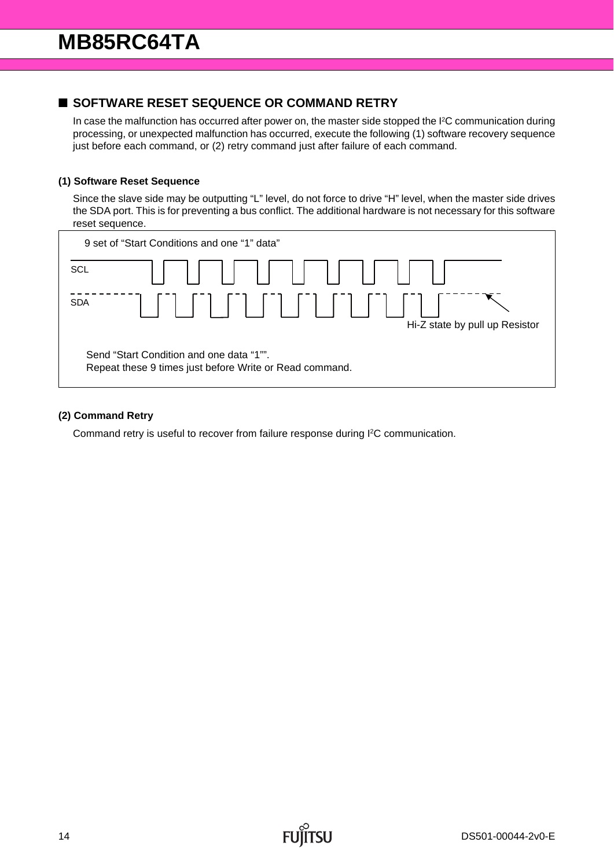### ■ **SOFTWARE RESET SEQUENCE OR COMMAND RETRY**

In case the malfunction has occurred after power on, the master side stopped the I2C communication during processing, or unexpected malfunction has occurred, execute the following (1) software recovery sequence just before each command, or (2) retry command just after failure of each command.

#### **(1) Software Reset Sequence**

Since the slave side may be outputting "L" level, do not force to drive "H" level, when the master side drives the SDA port. This is for preventing a bus conflict. The additional hardware is not necessary for this software reset sequence.



#### **(2) Command Retry**

Command retry is useful to recover from failure response during I2C communication.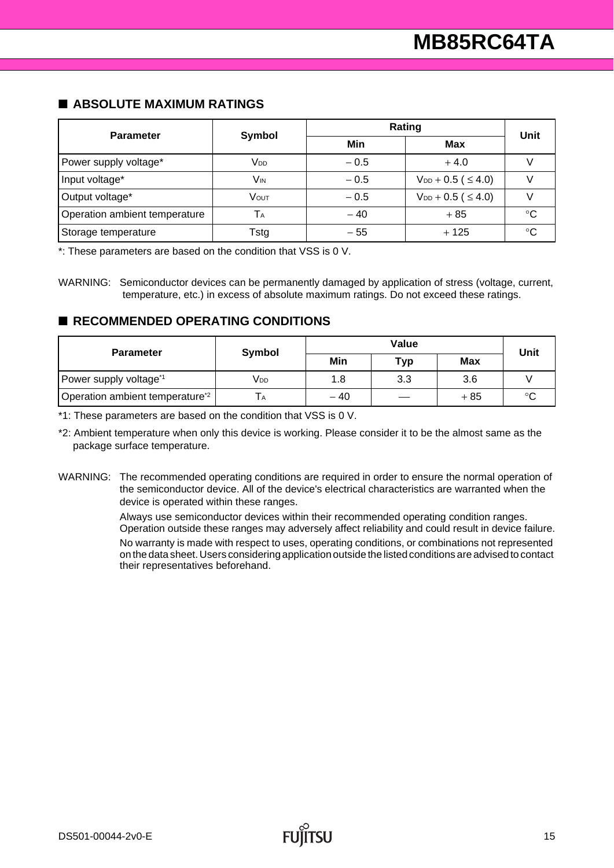#### ■ **ABSOLUTE MAXIMUM RATINGS**

| <b>Parameter</b>              | <b>Symbol</b>   | Rating | <b>Unit</b>                   |              |  |
|-------------------------------|-----------------|--------|-------------------------------|--------------|--|
|                               |                 | Min    | <b>Max</b>                    |              |  |
| Power supply voltage*         | V <sub>DD</sub> | $-0.5$ | $+4.0$                        |              |  |
| Input voltage*                | Vіn             | $-0.5$ | $V_{DD} + 0.5$ ( $\leq 4.0$ ) |              |  |
| Output voltage*               | Vout            | $-0.5$ | $V_{DD} + 0.5$ ( $\leq 4.0$ ) |              |  |
| Operation ambient temperature | Тa              | $-40$  | $+85$                         | ்ட           |  |
| Storage temperature           | Tstg            | $-55$  | $+125$                        | $^{\circ}$ C |  |

\*: These parameters are based on the condition that VSS is 0 V.

WARNING: Semiconductor devices can be permanently damaged by application of stress (voltage, current, temperature, etc.) in excess of absolute maximum ratings. Do not exceed these ratings.

#### ■ **RECOMMENDED OPERATING CONDITIONS**

| <b>Parameter</b>                            | Symbol |       | Unit |       |         |  |
|---------------------------------------------|--------|-------|------|-------|---------|--|
|                                             |        | Min   | Typ  | Max   |         |  |
| Power supply voltage*1                      | Vdd    | 1.8   | 3.3  | 3.6   |         |  |
| Operation ambient temperature <sup>*2</sup> |        | $-40$ |      | $+85$ | $\circ$ |  |

\*1: These parameters are based on the condition that VSS is 0 V.

\*2: Ambient temperature when only this device is working. Please consider it to be the almost same as the package surface temperature.

WARNING: The recommended operating conditions are required in order to ensure the normal operation of the semiconductor device. All of the device's electrical characteristics are warranted when the device is operated within these ranges.

> Always use semiconductor devices within their recommended operating condition ranges. Operation outside these ranges may adversely affect reliability and could result in device failure. No warranty is made with respect to uses, operating conditions, or combinations not represented on the data sheet. Users considering application outside the listed conditions are advised to contact their representatives beforehand.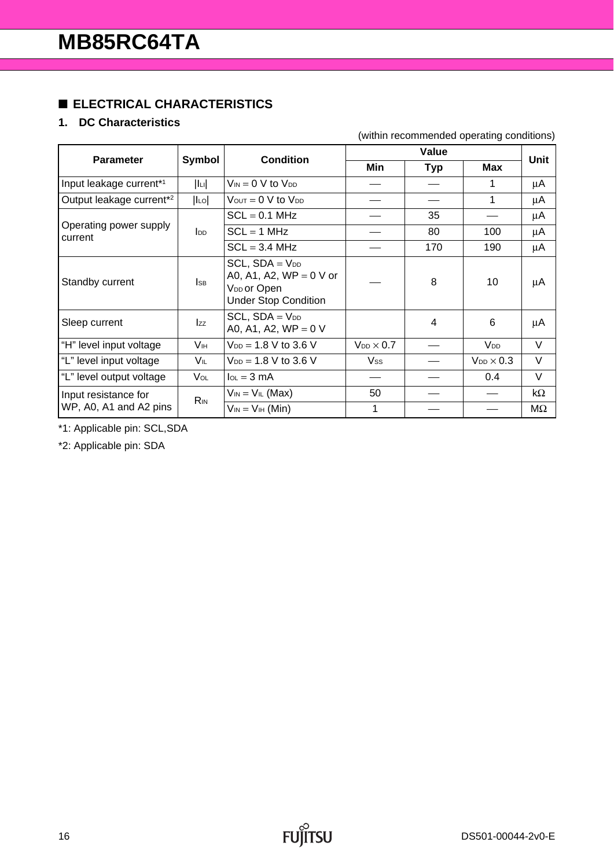# ■ **ELECTRICAL CHARACTERISTICS**

# **1. DC Characteristics**

#### (within recommended operating conditions)

| <b>Parameter</b>                     | <b>Symbol</b>          | <b>Condition</b>                                                                                           |                       |                | Unit                |           |
|--------------------------------------|------------------------|------------------------------------------------------------------------------------------------------------|-----------------------|----------------|---------------------|-----------|
|                                      |                        |                                                                                                            | Min                   | <b>Typ</b>     | Max                 |           |
| Input leakage current*1              | lu                     | $V_{IN} = 0$ V to $V_{DD}$                                                                                 |                       |                |                     | μA        |
| Output leakage current* <sup>2</sup> | $ I_{LO} $             | $V_{\text{OUT}} = 0 \text{ V}$ to $V_{\text{DD}}$                                                          |                       |                |                     | μA        |
|                                      |                        | $SCL = 0.1 MHz$                                                                                            |                       | 35             |                     | μA        |
| Operating power supply<br>current    | $I_{DD}$               | $SCL = 1 MHz$                                                                                              |                       | 80             | 100                 | μA        |
|                                      |                        | $SCL = 3.4 MHz$                                                                                            |                       | 170            | 190                 | μA        |
| Standby current                      | <b>I</b> sb            | $SCL$ , $SDA = VDD$<br>A0, A1, A2, $WP = 0 V$ or<br>V <sub>DD</sub> or Open<br><b>Under Stop Condition</b> |                       | 8              | 10                  | μA        |
| Sleep current                        | <b>Izz</b>             | $SCL$ , $SDA = V_{DD}$<br>A0, A1, A2, $WP = 0 V$                                                           |                       | $\overline{4}$ | 6                   | μA        |
| "H" level input voltage              | Vıн                    | $V_{DD} = 1.8 V$ to 3.6 V                                                                                  | $V_{DD}$ $\times$ 0.7 |                | V <sub>DD</sub>     | V         |
| "L" level input voltage              | VIL                    | $V_{DD} = 1.8 V$ to 3.6 V                                                                                  | Vss                   |                | $V_{DD} \times 0.3$ | V         |
| "L" level output voltage             | <b>V</b> ol            | $I_{OL} = 3 \text{ mA}$                                                                                    |                       |                | 0.4                 | $\vee$    |
| Input resistance for                 | <b>R</b> <sub>IN</sub> | $V_{IN} = V_{IL}$ (Max)                                                                                    | 50                    |                |                     | $k\Omega$ |
| WP, A0, A1 and A2 pins               |                        | $V_{IN} = V_{IH}$ (Min)                                                                                    | 1                     |                |                     | MΩ        |

\*1: Applicable pin: SCL,SDA

\*2: Applicable pin: SDA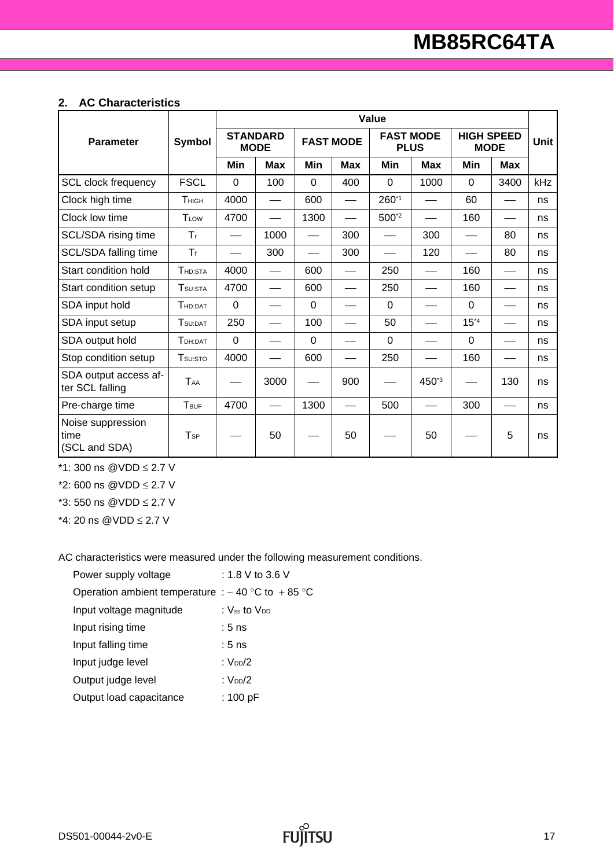#### **2. AC Characteristics**

|                                            |                     | Value       |                                |             |                  |                                 |            |                                  |                                           |             |  |
|--------------------------------------------|---------------------|-------------|--------------------------------|-------------|------------------|---------------------------------|------------|----------------------------------|-------------------------------------------|-------------|--|
| <b>Parameter</b>                           | Symbol              |             | <b>STANDARD</b><br><b>MODE</b> |             | <b>FAST MODE</b> | <b>FAST MODE</b><br><b>PLUS</b> |            | <b>HIGH SPEED</b><br><b>MODE</b> |                                           | <b>Unit</b> |  |
|                                            |                     | Min         | <b>Max</b>                     | Min         | <b>Max</b>       | Min                             | <b>Max</b> | Min                              | <b>Max</b>                                |             |  |
| <b>SCL clock frequency</b>                 | <b>FSCL</b>         | $\Omega$    | 100                            | $\Omega$    | 400              | $\Omega$                        | 1000       | $\overline{0}$                   | 3400                                      | kHz         |  |
| Clock high time                            | Тнісн               | 4000        |                                | 600         |                  | 260*1                           |            | 60                               |                                           | ns          |  |
| Clock low time                             | TLOW                | 4700        |                                | 1300        |                  | 500*2                           |            | 160                              |                                           | ns          |  |
| SCL/SDA rising time                        | $T_{\rm f}$         |             | 1000                           |             | 300              |                                 | 300        |                                  | 80                                        | ns          |  |
| SCL/SDA falling time                       | $T_f$               |             | 300                            |             | 300              |                                 | 120        |                                  | 80                                        | ns          |  |
| Start condition hold                       | THD:STA             | 4000        |                                | 600         |                  | 250                             |            | 160                              | $\qquad \qquad \overline{\qquad \qquad }$ | ns          |  |
| Start condition setup                      | T <sub>SU:STA</sub> | 4700        |                                | 600         |                  | 250                             |            | 160                              |                                           | ns          |  |
| SDA input hold                             | THD:DAT             | $\mathbf 0$ |                                | $\mathbf 0$ |                  | $\mathbf 0$                     |            | $\overline{0}$                   |                                           | ns          |  |
| SDA input setup                            | TSU:DAT             | 250         |                                | 100         |                  | 50                              |            | $15*4$                           |                                           | ns          |  |
| SDA output hold                            | TDH:DAT             | 0           |                                | 0           |                  | $\Omega$                        |            | $\overline{0}$                   |                                           | ns          |  |
| Stop condition setup                       | T <sub>su:STO</sub> | 4000        |                                | 600         |                  | 250                             |            | 160                              |                                           | ns          |  |
| SDA output access af-<br>ter SCL falling   | TAA                 |             | 3000                           |             | 900              |                                 | 450*3      |                                  | 130                                       | ns          |  |
| Pre-charge time                            | TBUF                | 4700        |                                | 1300        |                  | 500                             |            | 300                              |                                           | ns          |  |
| Noise suppression<br>time<br>(SCL and SDA) | T <sub>SP</sub>     |             | 50                             |             | 50               |                                 | 50         |                                  | 5                                         | ns          |  |

\*1: 300 ns @VDD ≤ 2.7 V

\*2: 600 ns @VDD ≤ 2.7 V

\*3: 550 ns @VDD ≤ 2.7 V

\*4: 20 ns @VDD ≤ 2.7 V

AC characteristics were measured under the following measurement conditions.

| Power supply voltage                                 | : 1.8 V to 3.6 V         |  |  |  |  |  |
|------------------------------------------------------|--------------------------|--|--|--|--|--|
| Operation ambient temperature : $-40$ °C to $+85$ °C |                          |  |  |  |  |  |
| Input voltage magnitude                              | : Vss to V <sub>DD</sub> |  |  |  |  |  |
| Input rising time                                    | $:5$ ns                  |  |  |  |  |  |
| Input falling time                                   | $:5$ ns                  |  |  |  |  |  |
| Input judge level                                    | : $V_{DD}/2$             |  |  |  |  |  |
| Output judge level                                   | : $V_{DD}/2$             |  |  |  |  |  |
| Output load capacitance                              | : $100 pF$               |  |  |  |  |  |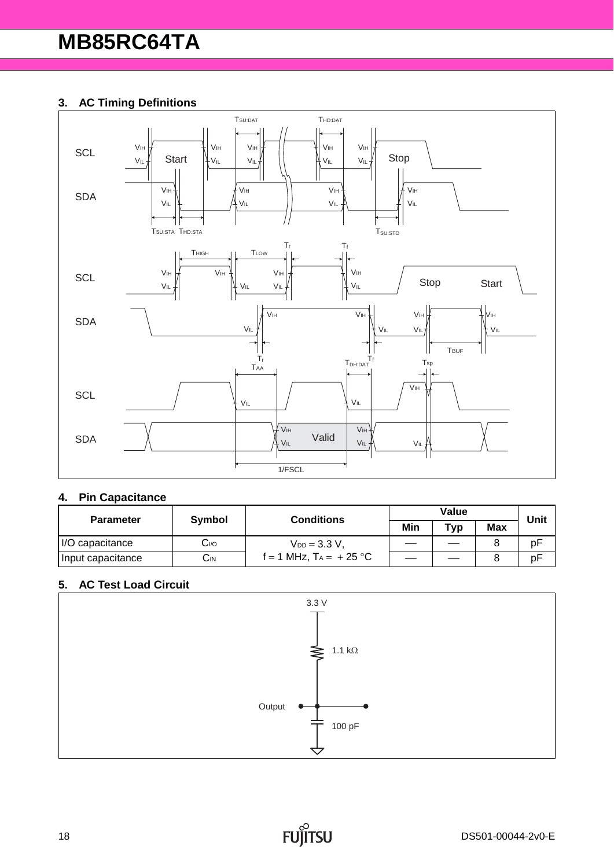## **3. AC Timing Definitions**



#### **4. Pin Capacitance**

| <b>Parameter</b>  | Symbol          | <b>Conditions</b>         |     | Unit |            |    |  |
|-------------------|-----------------|---------------------------|-----|------|------------|----|--|
|                   |                 |                           | Min | Typ  | <b>Max</b> |    |  |
| I/O capacitance   | $C_{VQ}$        | $V_{DD} = 3.3 V$          |     |      |            | рF |  |
| Input capacitance | $C_{\text{IN}}$ | f = 1 MHz, $T_A = +25$ °C |     |      |            | pF |  |

#### **5. AC Test Load Circuit**

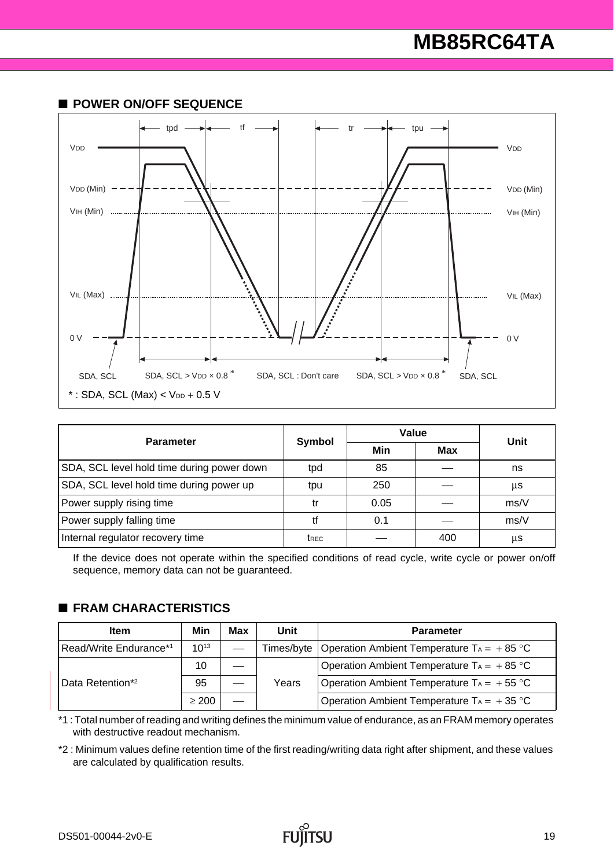# **MB85RC64TA**



| <b>Parameter</b>                           |                  | Value | Unit       |      |  |
|--------------------------------------------|------------------|-------|------------|------|--|
|                                            | Symbol           | Min   | <b>Max</b> |      |  |
| SDA, SCL level hold time during power down | tpd              | 85    |            | ns   |  |
| SDA, SCL level hold time during power up   | tpu              | 250   |            | μs   |  |
| Power supply rising time                   | tr               | 0.05  |            | ms/V |  |
| Power supply falling time                  | tf               | 0.1   |            | ms/V |  |
| Internal regulator recovery time           | t <sub>REC</sub> |       | 400        | μs   |  |

If the device does not operate within the specified conditions of read cycle, write cycle or power on/off sequence, memory data can not be guaranteed.

#### ■ **FRAM CHARACTERISTICS**

| <b>Item</b>                  | Min        | Max                                         | Unit  | <b>Parameter</b>                                               |
|------------------------------|------------|---------------------------------------------|-------|----------------------------------------------------------------|
| Read/Write Endurance*1       | $10^{13}$  |                                             |       | Times/byte   Operation Ambient Temperature $Ta = +85^{\circ}C$ |
| 10                           |            | Operation Ambient Temperature $Ta = +85$ °C |       |                                                                |
| Data Retention* <sup>2</sup> | 95         |                                             | Years | Operation Ambient Temperature $Ta = +55^{\circ}C$              |
|                              | $\geq 200$ |                                             |       | Operation Ambient Temperature $Ta = +35$ °C                    |

\*1 : Total number of reading and writing defines the minimum value of endurance, as an FRAM memory operates with destructive readout mechanism.

\*2 : Minimum values define retention time of the first reading/writing data right after shipment, and these values are calculated by qualification results.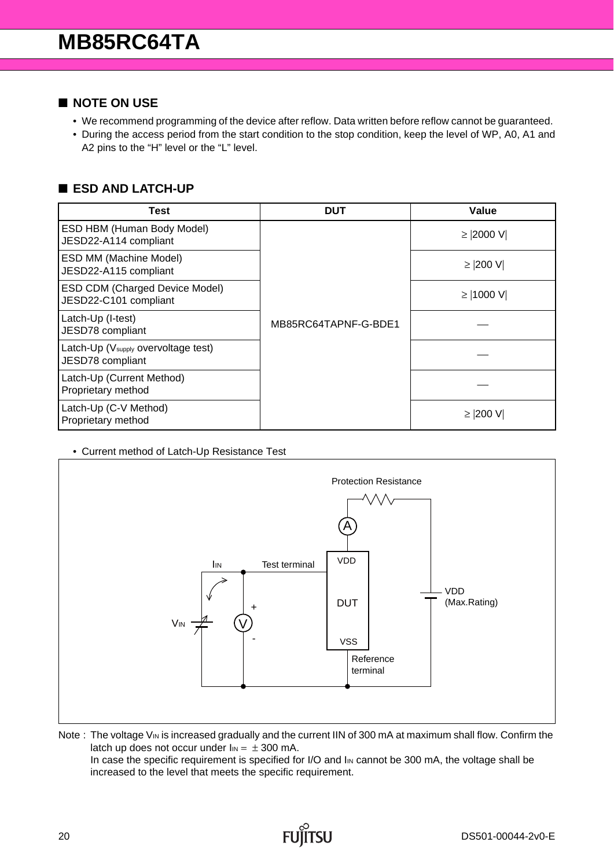#### ■ **NOTE ON USE**

- We recommend programming of the device after reflow. Data written before reflow cannot be guaranteed.
- During the access period from the start condition to the stop condition, keep the level of WP, A0, A1 and A2 pins to the "H" level or the "L" level.

### ■ **ESD AND LATCH-UP**

| Test                                                                | <b>DUT</b>           | <b>Value</b> |
|---------------------------------------------------------------------|----------------------|--------------|
| ESD HBM (Human Body Model)<br>JESD22-A114 compliant                 |                      | ≥  2000 V    |
| ESD MM (Machine Model)<br>JESD22-A115 compliant                     |                      | $≥$  200 V   |
| <b>ESD CDM (Charged Device Model)</b><br>JESD22-C101 compliant      | MB85RC64TAPNF-G-BDE1 | ≥  1000 V    |
| Latch-Up (I-test)<br>JESD78 compliant                               |                      |              |
| Latch-Up (V <sub>supply</sub> overvoltage test)<br>JESD78 compliant |                      |              |
| Latch-Up (Current Method)<br>Proprietary method                     |                      |              |
| Latch-Up (C-V Method)<br>Proprietary method                         |                      | ≥  200 V     |

• Current method of Latch-Up Resistance Test



Note : The voltage VIN is increased gradually and the current IIN of 300 mA at maximum shall flow. Confirm the latch up does not occur under  $I_{IN} = \pm 300$  mA. In case the specific requirement is specified for I/O and I<sub>IN</sub> cannot be 300 mA, the voltage shall be increased to the level that meets the specific requirement.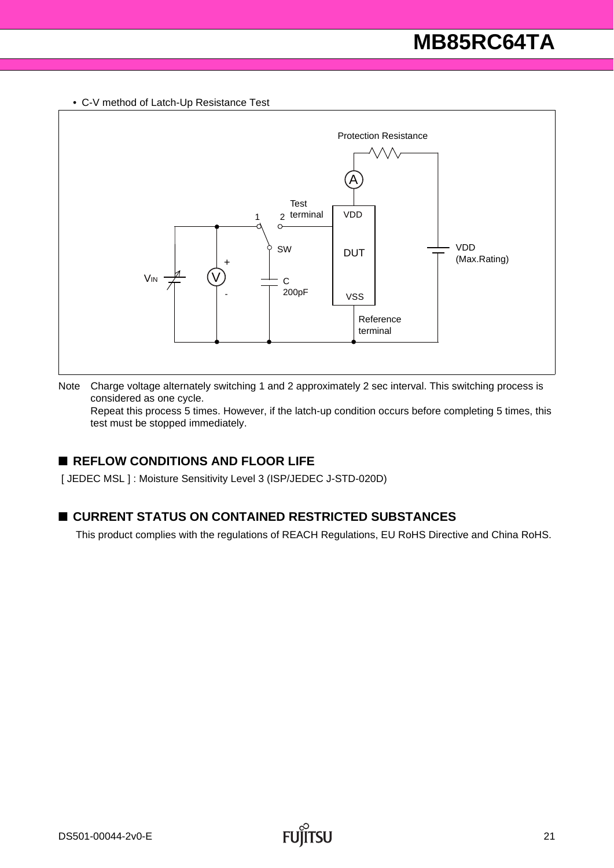• C-V method of Latch-Up Resistance Test



Note Charge voltage alternately switching 1 and 2 approximately 2 sec interval. This switching process is considered as one cycle.

Repeat this process 5 times. However, if the latch-up condition occurs before completing 5 times, this test must be stopped immediately.

### ■ **REFLOW CONDITIONS AND FLOOR LIFE**

[ JEDEC MSL ] : Moisture Sensitivity Level 3 (ISP/JEDEC J-STD-020D)

### ■ **CURRENT STATUS ON CONTAINED RESTRICTED SUBSTANCES**

This product complies with the regulations of REACH Regulations, EU RoHS Directive and China RoHS.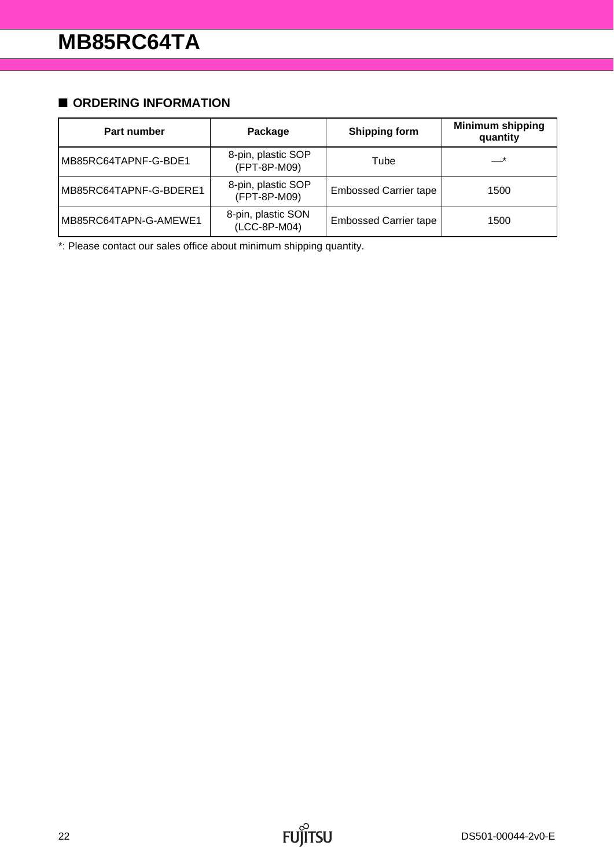## ■ **ORDERING INFORMATION**

| Part number            | Package                            | <b>Shipping form</b>         | <b>Minimum shipping</b><br>quantity |
|------------------------|------------------------------------|------------------------------|-------------------------------------|
| MB85RC64TAPNF-G-BDE1   | 8-pin, plastic SOP<br>(FPT-8P-M09) | Tube                         | $\overline{\phantom{0}}^*$          |
| MB85RC64TAPNF-G-BDERE1 | 8-pin, plastic SOP<br>(FPT-8P-M09) | <b>Embossed Carrier tape</b> | 1500                                |
| MB85RC64TAPN-G-AMEWE1  | 8-pin, plastic SON<br>(LCC-8P-M04) | <b>Embossed Carrier tape</b> | 1500                                |

\*: Please contact our sales office about minimum shipping quantity.

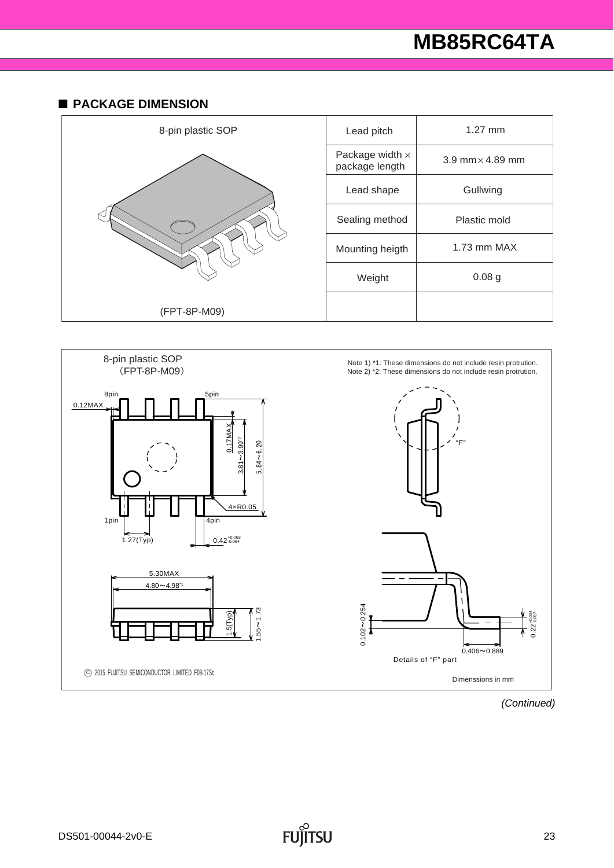# **MB85RC64TA**

#### ■ **PACKAGE DIMENSION**





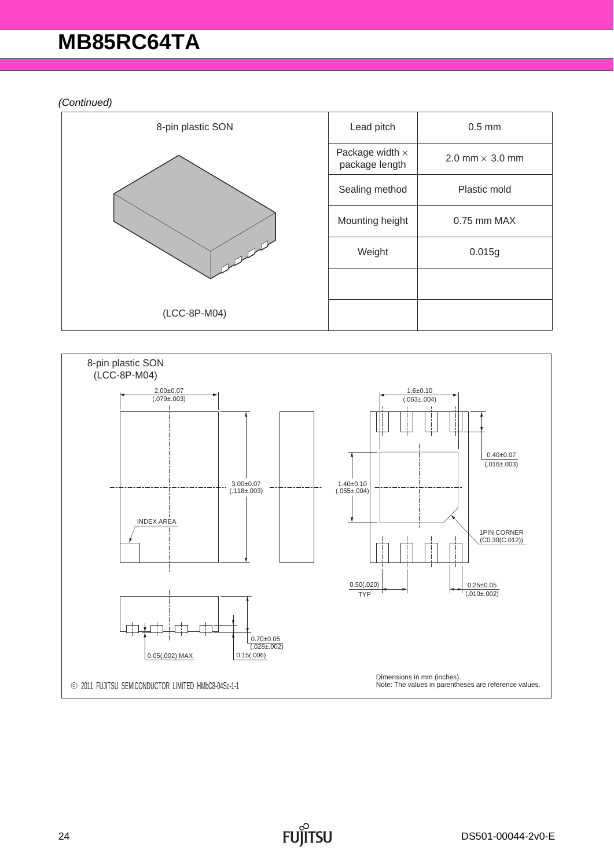# **MB85RC64TA**

*(Continued)*



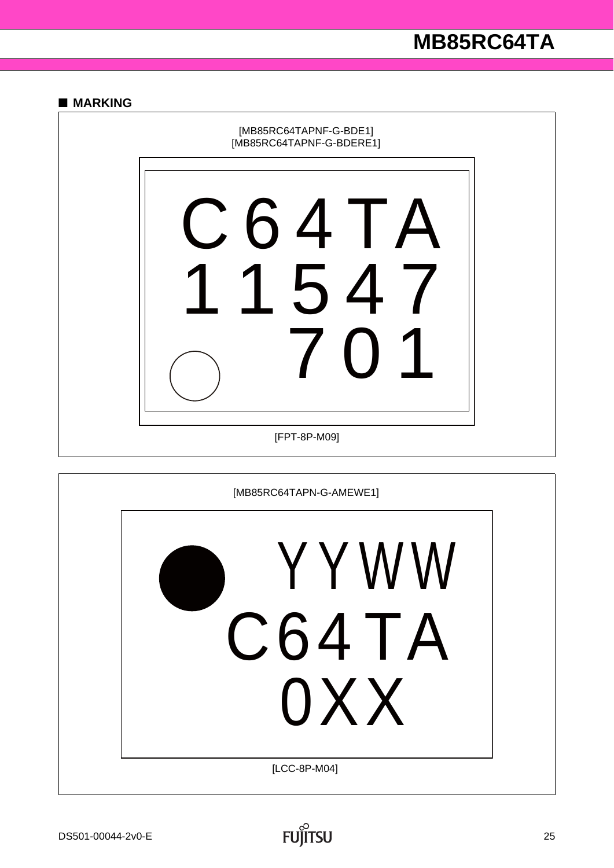#### ■ **MARKING**



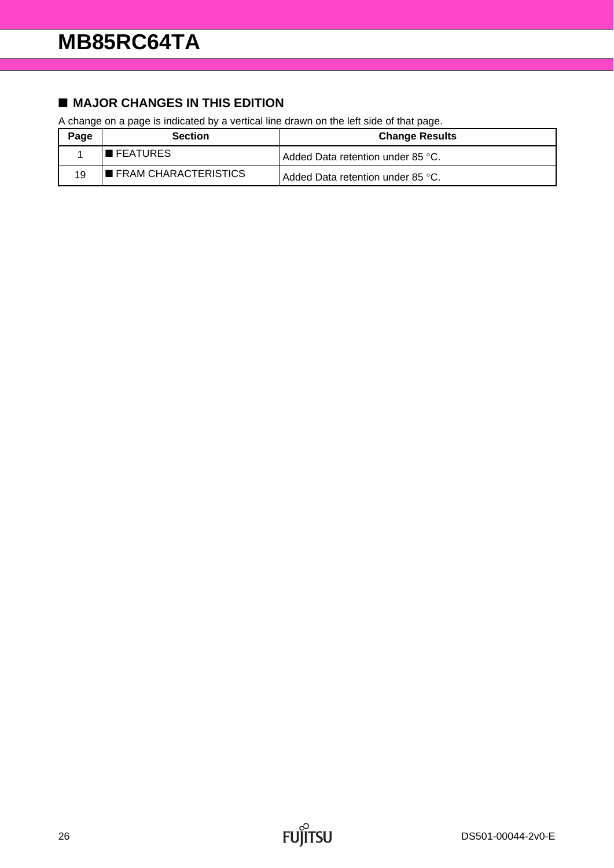# ■ **MAJOR CHANGES IN THIS EDITION**

A change on a page is indicated by a vertical line drawn on the left side of that page.

| Page | <b>Section</b>                      | <b>Change Results</b>               |
|------|-------------------------------------|-------------------------------------|
|      | $\blacksquare$ FEATURES             | l Added Data retention under 85 °C. |
| 19   | $\blacksquare$ FRAM CHARACTERISTICS | Added Data retention under 85 °C.   |

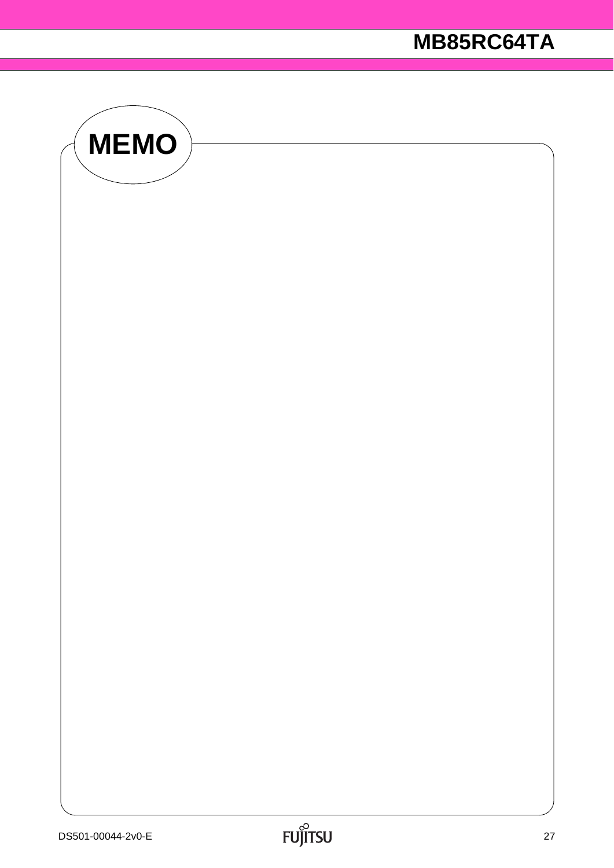